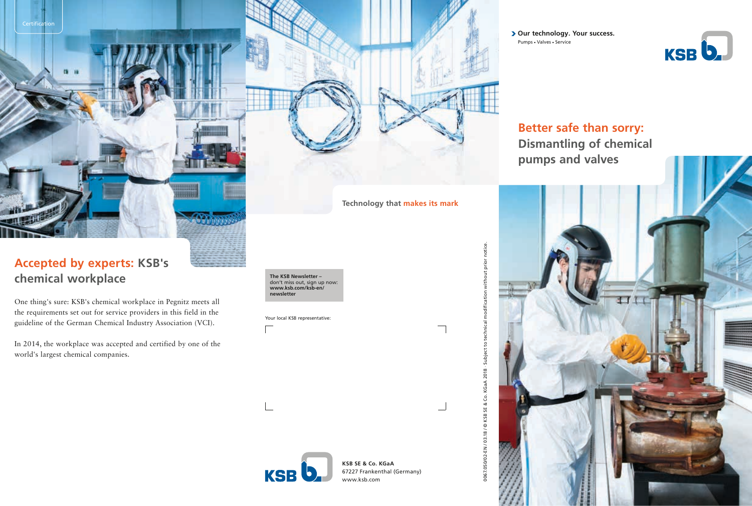**Accepted by experts: KSB's chemical workplace**

Certification

 $18$  $\mathbf{H}$ 

One thing's sure: KSB's chemical workplace in Pegnitz meets all the requirements set out for service providers in this field in the guideline of the German Chemical Industry Association (VCI).

In 2014, the workplace was accepted and certified by one of the world's largest chemical companies.



Your local KSB representative:

**> Our technology. Your success.** Pumps - Valves - Service



**Better safe than sorry: Dismantling of chemical pumps and valves**





**KSB SE & Co. KGaA** 67227 Frankenthal (Germany) www.ksb.com

**Technology that makes its mark**

0067.050/02-EN / 03.18 / © KSB SE & Co. KGaA 2018 · Subject to technical modification without prior notice.

0067.050/02-EN / 03.18 / @ KSB SE & Co. KGaA 2018 · Subject to technical

modification without prior notice.